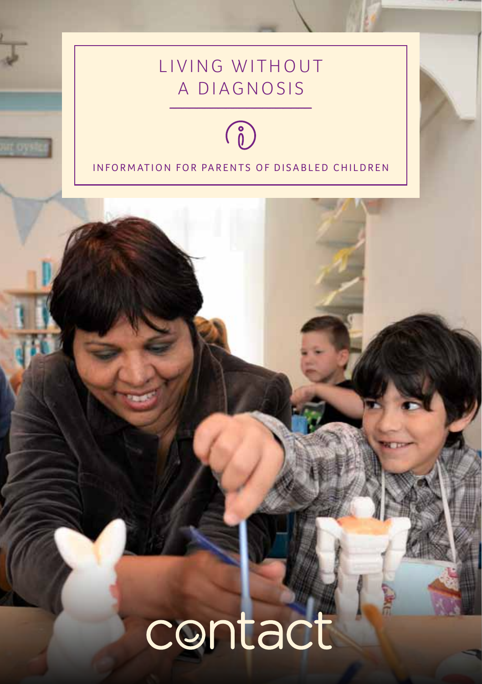### LIVING WITHOUT a Diagnosis



#### INFORMATION FOR PARENTS OF DISABLED CHILDREN

# contact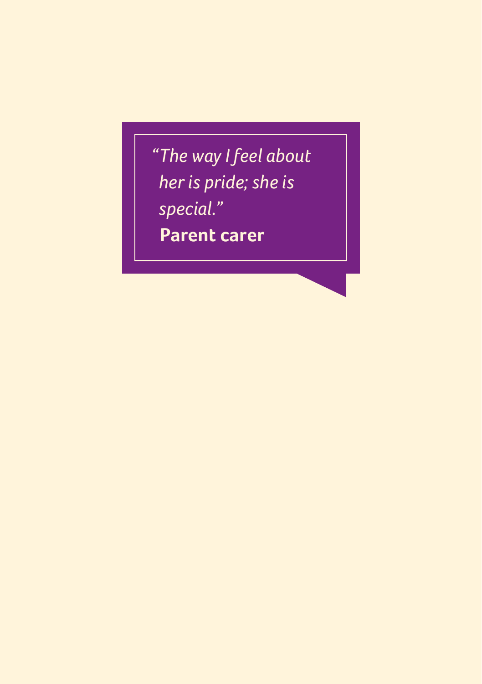*"The way I feel about her is pride; she is special."*  **Parent carer**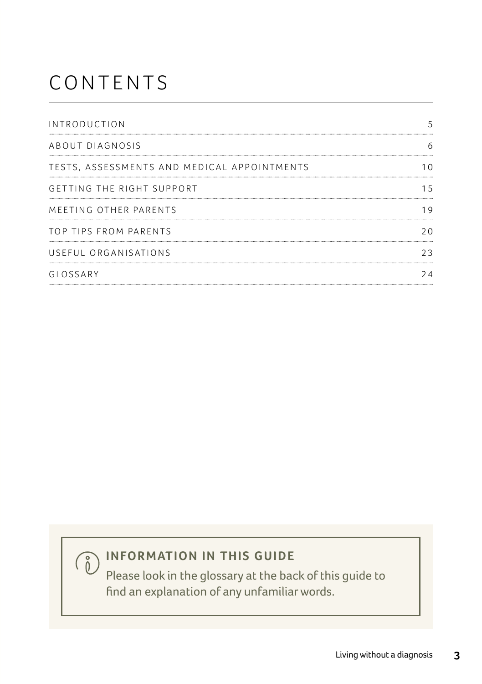# **CONTENTS**

| INTRODUCTION                                |       |
|---------------------------------------------|-------|
| ABOUT DIAGNOSIS                             |       |
| TESTS, ASSESSMENTS AND MEDICAL APPOINTMENTS | - ( ) |
| GETTING THE RIGHT SUPPORT                   | -5    |
| MEETING OTHER PARENTS                       | - Q   |
| TOP TIPS FROM PARENTS                       |       |
| USEFUL ORGANISATIONS                        | つ3    |
| GLOSSARY                                    | 74    |

#### **INFORMATION IN THIS GUIDE**

 $\sqrt{2}$ 

Please look in the glossary at the back of this guide to find an explanation of any unfamiliar words.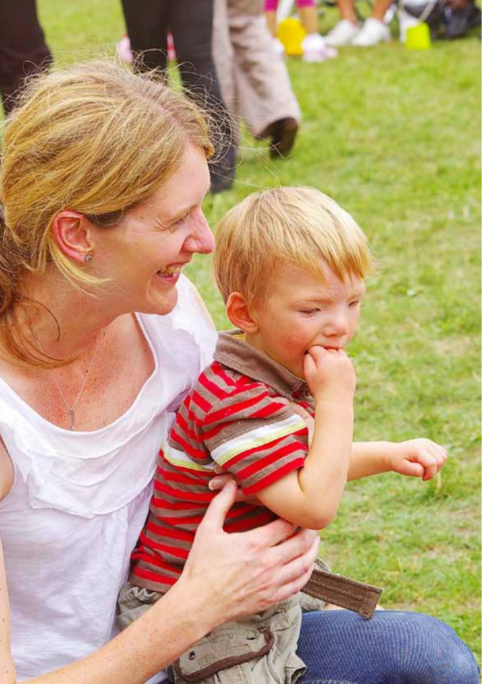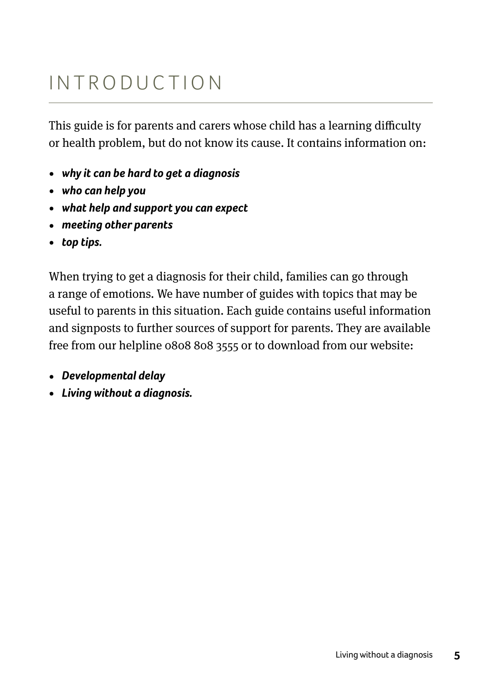# Introduc tion

This guide is for parents and carers whose child has a learning difficulty or health problem, but do not know its cause. It contains information on:

- **•**  *why it can be hard to get a diagnosis*
- **•**  *who can help you*
- **•**  *what help and support you can expect*
- **•**  *meeting other parents*
- **•**  *top tips.*

When trying to get a diagnosis for their child, families can go through a range of emotions. We have number of guides with topics that may be useful to parents in this situation. Each guide contains useful information and signposts to further sources of support for parents. They are available free from our helpline 0808 808 3555 or to download from our website:

- **•**  *Developmental delay*
- **•**  *Living without a diagnosis.*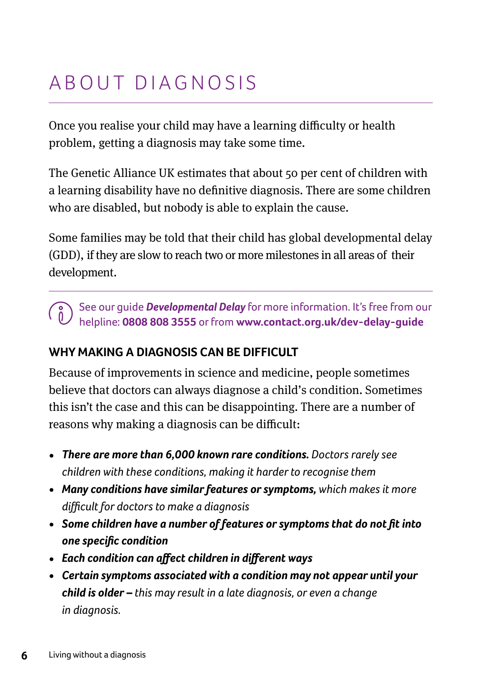# A BOUT DIAGNOSIS

Once you realise your child may have a learning difficulty or health problem, getting a diagnosis may take some time.

The Genetic Alliance UK estimates that about 50 per cent of children with a learning disability have no definitive diagnosis. There are some children who are disabled, but nobody is able to explain the cause.

Some families may be told that their child has global developmental delay (GDD), if they are slow to reach two or more milestones in all areas of their development.

#### See our guide *Developmental Delay* for more information. It's free from our helpline: **0808 808 3555** or from **www.contact.org.uk/dev-delay-guide**

#### **Why making a diagnosis can be difficult**

Because of improvements in science and medicine, people sometimes believe that doctors can always diagnose a child's condition. Sometimes this isn't the case and this can be disappointing. There are a number of reasons why making a diagnosis can be difficult:

- **•**  *There are more than 6,000 known rare conditions. Doctors rarely see children with these conditions, making it harder to recognise them*
- **•**  *Many conditions have similar features or symptoms, which makes it more difficult for doctors to make a diagnosis*
- **•**  *Some children have a number of features or symptoms that do not fit into one specific condition*
- **•**  *Each condition can affect children in different ways*
- **•**  *Certain symptoms associated with a condition may not appear until your child is older – this may result in a late diagnosis, or even a change in diagnosis.*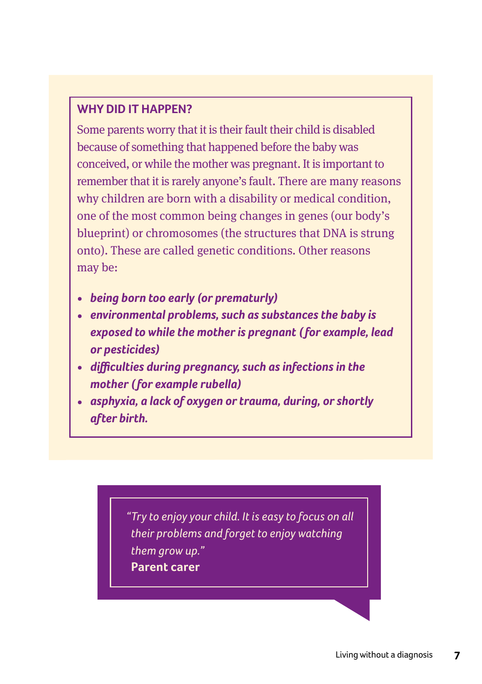#### **Why did it happen?**

Some parents worry that it is their fault their child is disabled because of something that happened before the baby was conceived, or while the mother was pregnant. It is important to remember that it is rarely anyone's fault. There are many reasons why children are born with a disability or medical condition, one of the most common being changes in genes (our body's blueprint) or chromosomes (the structures that DNA is strung onto). These are called genetic conditions. Other reasons may be:

- **•**  *being born too early (or prematurly)*
- **•**  *environmental problems, such as substances the baby is exposed to while the mother is pregnant ( for example, lead or pesticides)*
- **•**  *difficulties during pregnancy, such as infections in the mother ( for example rubella)*
- **•**  *asphyxia, a lack of oxygen or trauma, during, or shortly after birth.*

*"Try to enjoy your child. It is easy to focus on all their problems and forget to enjoy watching them grow up."*   **Parent carer**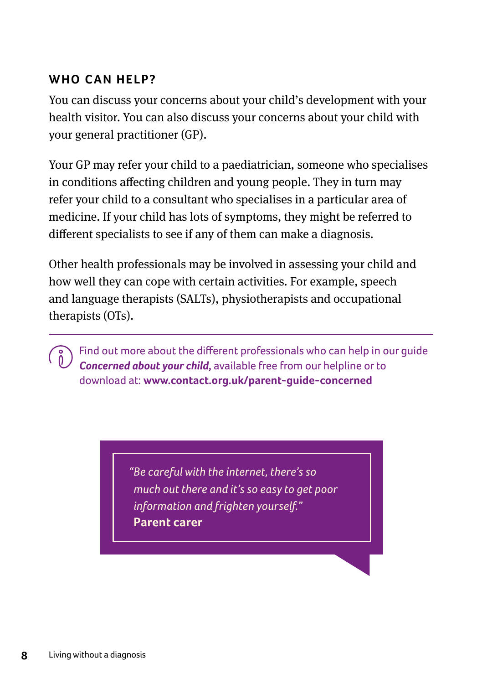#### **Who can help?**

You can discuss your concerns about your child's development with your health visitor. You can also discuss your concerns about your child with your general practitioner (GP).

Your GP may refer your child to a paediatrician, someone who specialises in conditions affecting children and young people. They in turn may refer your child to a consultant who specialises in a particular area of medicine. If your child has lots of symptoms, they might be referred to different specialists to see if any of them can make a diagnosis.

Other health professionals may be involved in assessing your child and how well they can cope with certain activities. For example, speech and language therapists (SALTs), physiotherapists and occupational therapists (OTs).

Find out more about the different professionals who can help in our guide *Concerned about your child***,** available free from our helpline or to download at: **www.contact.org.uk/parent-guide-concerned**

> *"Be careful with the internet, there's so much out there and it's so easy to get poor information and frighten yourself."*  **Parent carer**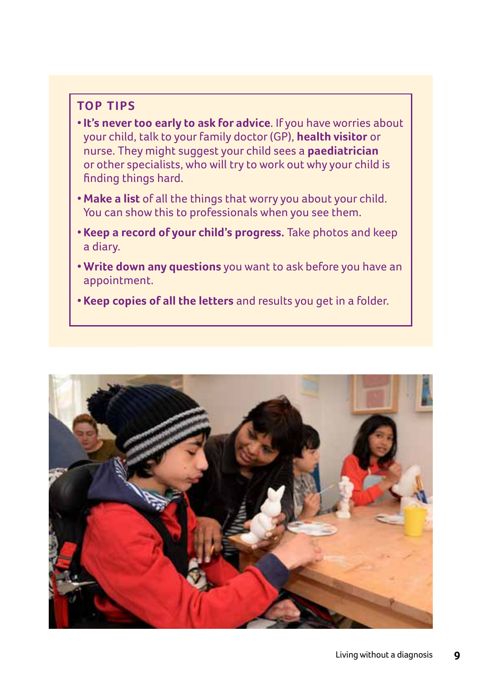#### **Top tips**

- •**It's never too early to ask for advice**. If you have worries about your child, talk to your family doctor (GP), **health visitor** or nurse. They might suggest your child sees a **paediatrician** or other specialists, who will try to work out why your child is finding things hard.
- **Make a list** of all the things that worry you about your child. You can show this to professionals when you see them.
- **Keep a record of your child's progress.** Take photos and keep a diary.
- **Write down any questions** you want to ask before you have an appointment.
- • **Keep copies of all the letters** and results you get in a folder.

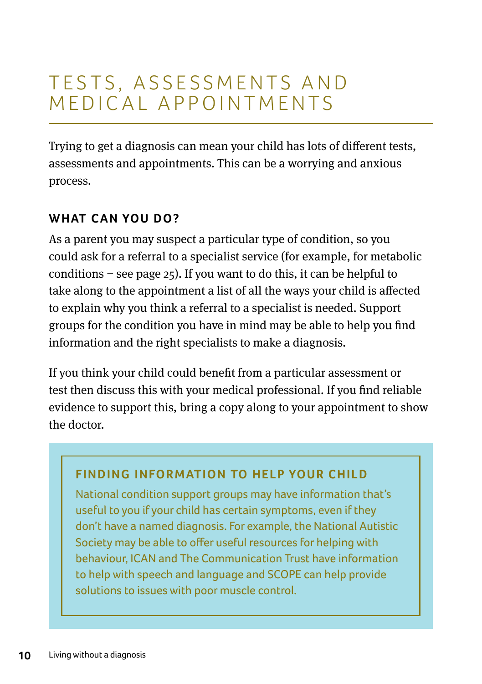### TESTS, ASSESSMENTS AND MEDICAL APPOINTMENTS

Trying to get a diagnosis can mean your child has lots of different tests, assessments and appointments. This can be a worrying and anxious process.

#### **WHAT CAN YOU DO?**

As a parent you may suspect a particular type of condition, so you could ask for a referral to a specialist service (for example, for metabolic conditions – see page  $25$ ). If you want to do this, it can be helpful to take along to the appointment a list of all the ways your child is affected to explain why you think a referral to a specialist is needed. Support groups for the condition you have in mind may be able to help you find information and the right specialists to make a diagnosis.

If you think your child could benefit from a particular assessment or test then discuss this with your medical professional. If you find reliable evidence to support this, bring a copy along to your appointment to show the doctor.

#### **FINDING INFORMATION TO HELP YOUR CHILD**

National condition support groups may have information that's useful to you if your child has certain symptoms, even if they don't have a named diagnosis. For example, the National Autistic Society may be able to offer useful resources for helping with behaviour, ICAN and The Communication Trust have information to help with speech and language and SCOPE can help provide solutions to issues with poor muscle control.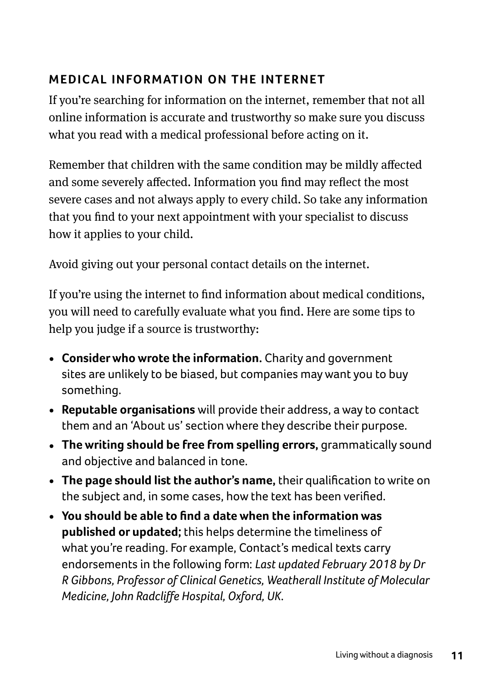#### **MEDICAL INFORMATION ON THE INTERNET**

If you're searching for information on the internet, remember that not all online information is accurate and trustworthy so make sure you discuss what you read with a medical professional before acting on it.

Remember that children with the same condition may be mildly affected and some severely affected. Information you find may reflect the most severe cases and not always apply to every child. So take any information that you find to your next appointment with your specialist to discuss how it applies to your child.

Avoid giving out your personal contact details on the internet.

If you're using the internet to find information about medical conditions, you will need to carefully evaluate what you find. Here are some tips to help you judge if a source is trustworthy:

- **• Consider who wrote the information.** Charity and government sites are unlikely to be biased, but companies may want you to buy something.
- **• Reputable organisations** will provide their address, a way to contact them and an 'About us' section where they describe their purpose.
- **• The writing should be free from spelling errors,** grammatically sound and objective and balanced in tone.
- **• The page should list the author's name,** their qualification to write on the subject and, in some cases, how the text has been verified.
- **• You should be able to find a date when the information was published or updated;** this helps determine the timeliness of what you're reading. For example, Contact's medical texts carry endorsements in the following form: *Last updated February 2018 by Dr R Gibbons, Professor of Clinical Genetics, Weatherall Institute of Molecular Medicine, John Radcliffe Hospital, Oxford, UK*.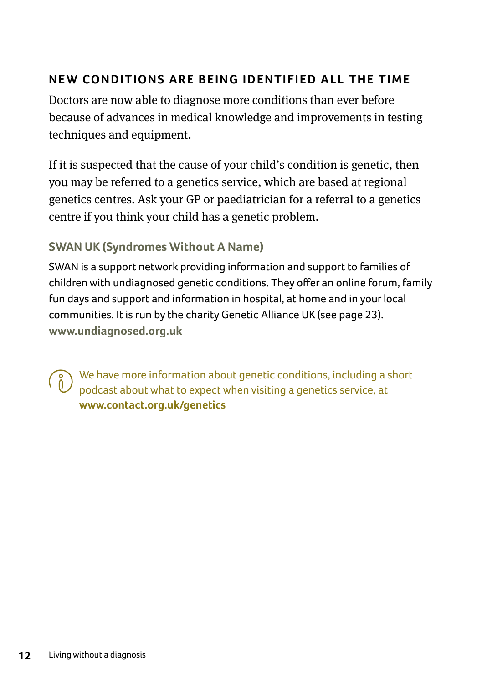#### **New conditions are being identified all the tim e**

Doctors are now able to diagnose more conditions than ever before because of advances in medical knowledge and improvements in testing techniques and equipment.

If it is suspected that the cause of your child's condition is genetic, then you may be referred to a genetics service, which are based at regional genetics centres. Ask your GP or paediatrician for a referral to a genetics centre if you think your child has a genetic problem.

#### **SWAN UK (Syndromes Without A Name)**

SWAN is a support network providing information and support to families of children with undiagnosed genetic conditions. They offer an online forum, family fun days and support and information in hospital, at home and in your local communities. It is run by the charity Genetic Alliance UK (see page 23). **[www.undiagnosed.org.u](https://www.undiagnosed.org.uk)k**

We have more information about genetic conditions, including a short podcast about what to expect when visiting a genetics service, at **[www.contact.org.uk/genetics](https://contact.org.uk/genetics)**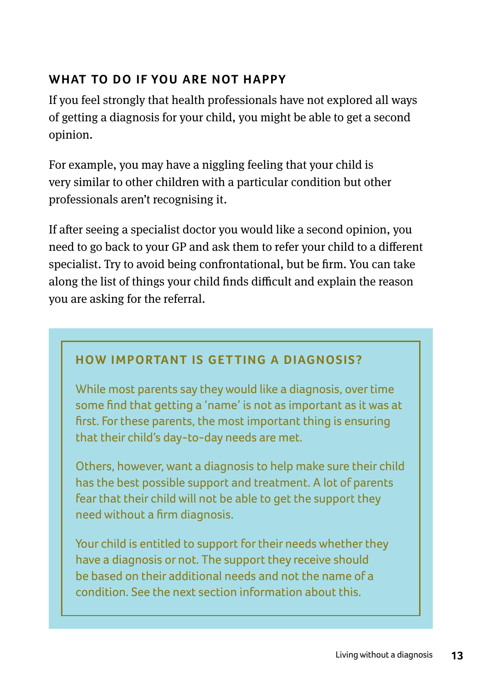#### WHAT TO DO IF YOU ARE NOT HAPPY

If you feel strongly that health professionals have not explored all ways of getting a diagnosis for your child, you might be able to get a second opinion.

For example, you may have a niggling feeling that your child is very similar to other children with a particular condition but other professionals aren't recognising it.

If after seeing a specialist doctor you would like a second opinion, you need to go back to your GP and ask them to refer your child to a different specialist. Try to avoid being confrontational, but be firm. You can take along the list of things your child finds difficult and explain the reason you are asking for the referral.

#### **HOW IMPORTANT IS GETTING A DIAGNOSIS?**

While most parents say they would like a diagnosis, over time some find that getting a 'name' is not as important as it was at first. For these parents, the most important thing is ensuring that their child's day-to-day needs are met.

Others, however, want a diagnosis to help make sure their child has the best possible support and treatment. A lot of parents fear that their child will not be able to get the support they need without a firm diagnosis.

Your child is entitled to support for their needs whether they have a diagnosis or not. The support they receive should be based on their additional needs and not the name of a condition. See the next section information about this.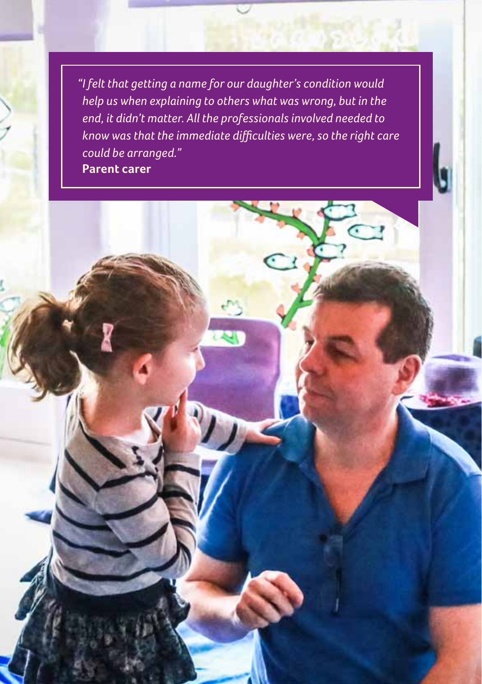*"I felt that getting a name for our daughter's condition would help us when explaining to others what was wrong, but in the end, it didn't matter. All the professionals involved needed to know was that the immediate difficulties were, so the right care could be arranged."*  **Parent carer**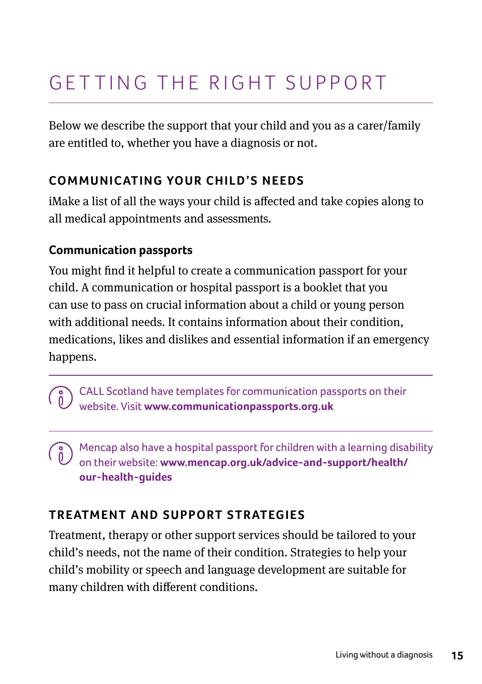## Getting the right support

Below we describe the support that your child and you as a carer/family are entitled to, whether you have a diagnosis or not.

#### **Communic ating your child's needs**

iMake a list of all the ways your child is affected and take copies along to all medical appointments and assessments.

#### **Communication passports**

You might find it helpful to create a communication passport for your child. A communication or hospital passport is a booklet that you can use to pass on crucial information about a child or young person with additional needs. It contains information about their condition, medications, likes and dislikes and essential information if an emergency happens.

CALL Scotland have templates for communication passports on their website. Visit **[www.communicationpassports.org.uk](https://www.communicationpassports.org.uk/)** 

Mencap also have a hospital passport for children with a learning disability on their website: **[www.mencap.org.uk/advice-and-support/health/](https://www.mencap.org.uk/advice-and-support/health/our-health-guides) [our-health-guides](https://www.mencap.org.uk/advice-and-support/health/our-health-guides)**

#### **TREATMENT AND SUPPORT STRATEGIES**

Treatment, therapy or other support services should be tailored to your child's needs, not the name of their condition. Strategies to help your child's mobility or speech and language development are suitable for many children with different conditions.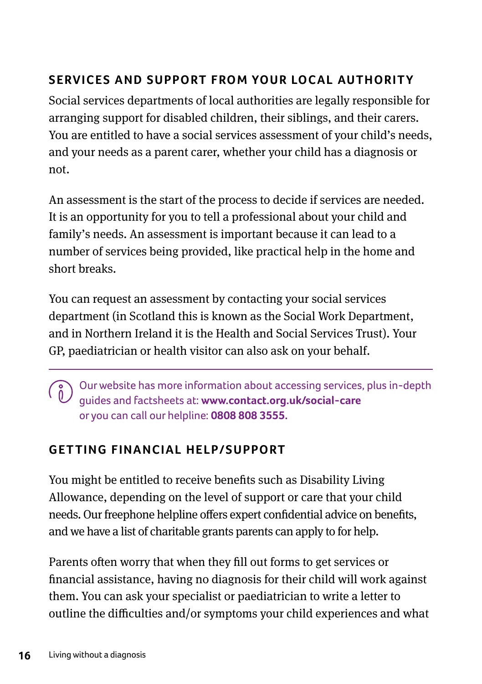#### **services and support from your local authorit y**

Social services departments of local authorities are legally responsible for arranging support for disabled children, their siblings, and their carers. You are entitled to have a social services assessment of your child's needs, and your needs as a parent carer, whether your child has a diagnosis or not.

An assessment is the start of the process to decide if services are needed. It is an opportunity for you to tell a professional about your child and family's needs. An assessment is important because it can lead to a number of services being provided, like practical help in the home and short breaks.

You can request an assessment by contacting your social services department (in Scotland this is known as the Social Work Department, and in Northern Ireland it is the Health and Social Services Trust). Your GP, paediatrician or health visitor can also ask on your behalf.

Our website has more information about accessing services, plus in-depth guides and factsheets at: **[www.contact.org.uk/](https://www.scope.org.uk/support/families/diagnosis/communication-issues)social-care** or you can call our helpline: **0808 808 3555.**

#### **Getting financial help/support**

You might be entitled to receive benefits such as Disability Living Allowance, depending on the level of support or care that your child needs. Our freephone helpline offers expert confidential advice on benefits, and we have a list of charitable grants parents can apply to for help.

Parents often worry that when they fill out forms to get services or financial assistance, having no diagnosis for their child will work against them. You can ask your specialist or paediatrician to write a letter to outline the difficulties and/or symptoms your child experiences and what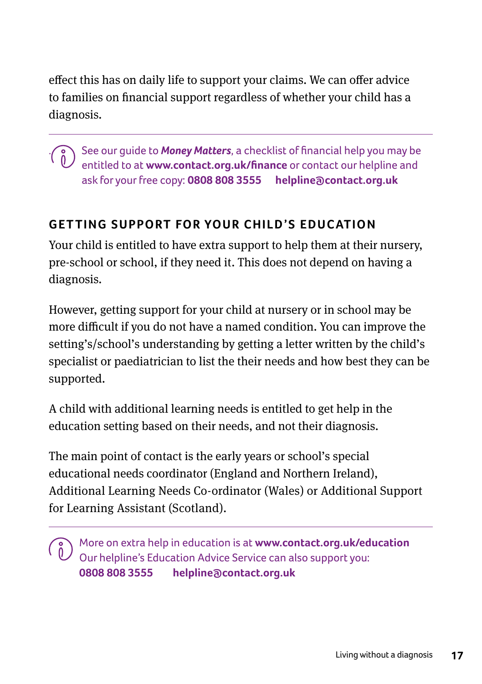effect this has on daily life to support your claims. We can offer advice to families on financial support regardless of whether your child has a diagnosis.

. See our guide to *Money Matters*, a checklist of financial help you may be entitled to at **www.contact.org.uk/finance** or contact our helpline and ask for your free copy: **0808 808 3555 helpline@contact.org.uk**

#### **GETTING SUPPORT FOR YOUR CHILD'S FDUCATION**

Your child is entitled to have extra support to help them at their nursery, pre-school or school, if they need it. This does not depend on having a diagnosis.

However, getting support for your child at nursery or in school may be more difficult if you do not have a named condition. You can improve the setting's/school's understanding by getting a letter written by the child's specialist or paediatrician to list the their needs and how best they can be supported.

A child with additional learning needs is entitled to get help in the education setting based on their needs, and not their diagnosis.

The main point of contact is the early years or school's special educational needs coordinator (England and Northern Ireland), Additional Learning Needs Co-ordinator (Wales) or Additional Support for Learning Assistant (Scotland).

More on extra help in education is at **www.contact.org.uk/education** Our helpline's Education Advice Service can also support you: **0808 808 3555 helpline@contact.org.uk**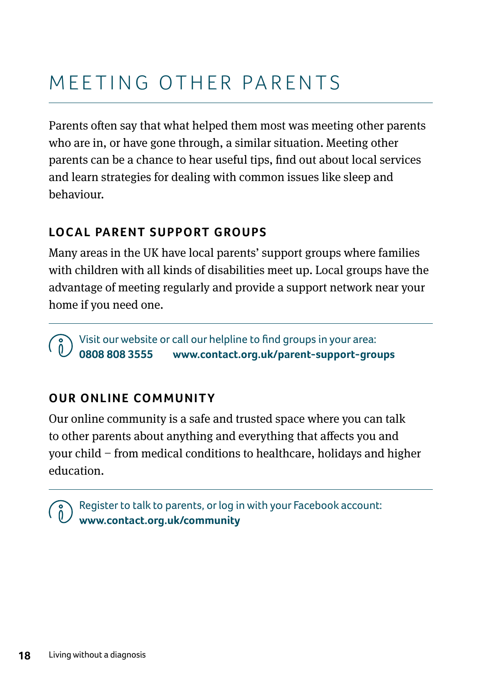### Meeting other parents

Parents often say that what helped them most was meeting other parents who are in, or have gone through, a similar situation. Meeting other parents can be a chance to hear useful tips, find out about local services and learn strategies for dealing with common issues like sleep and behaviour.

#### **Local parent support groups**

Many areas in the UK have local parents' support groups where families with children with all kinds of disabilities meet up. Local groups have the advantage of meeting regularly and provide a support network near your home if you need one.

Visit our website or call our helpline to find groups in your area: **0808 808 3555 www.contact.org.uk/parent-support-groups**

#### **OUR ONLINE COMMUNITY**

Our online community is a safe and trusted space where you can talk to other parents about anything and everything that affects you and your child – from medical conditions to healthcare, holidays and higher education.

Register to talk to parents, or log in with your Facebook account: **www.contact.org.uk/community**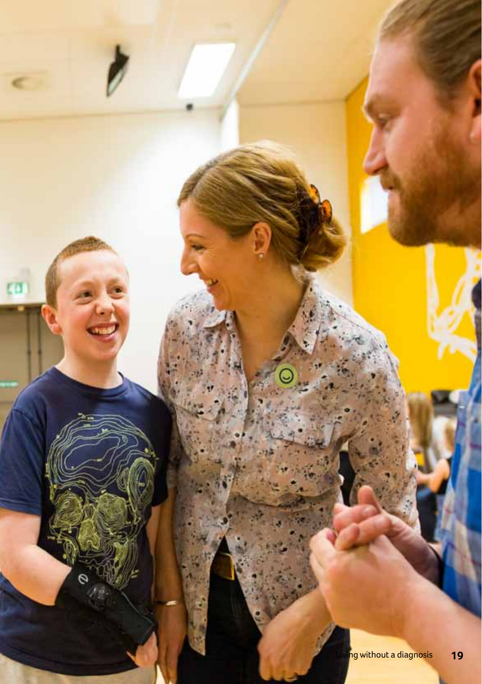**Living without a diagnosis 19** 

ĘO

 $\mathcal{O}$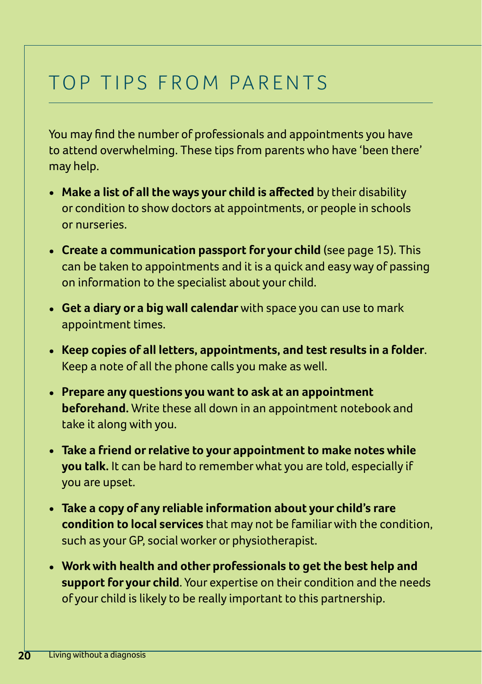### TOP TIPS FROM PARFNTS

You may find the number of professionals and appointments you have to attend overwhelming. These tips from parents who have 'been there' may help.

- **• Make a list of all the ways your child is affected** by their disability or condition to show doctors at appointments, or people in schools or nurseries.
- **• Create a communication passport for your child** (see page 15). This can be taken to appointments and it is a quick and easy way of passing on information to the specialist about your child.
- **• Get a diary or a big wall calendar** with space you can use to mark appointment times.
- **• Keep copies of all letters, appointments, and test results in a folder**. Keep a note of all the phone calls you make as well.
- **• Prepare any questions you want to ask at an appointment beforehand.** Write these all down in an appointment notebook and take it along with you.
- **• Take a friend or relative to your appointment to make notes while you talk.** It can be hard to remember what you are told, especially if you are upset.
- **• Take a copy of any reliable information about your child's rare condition to local services** that may not be familiar with the condition, such as your GP, social worker or physiotherapist.
- **• Work with health and other professionals to get the best help and support for your child**. Your expertise on their condition and the needs of your child is likely to be really important to this partnership.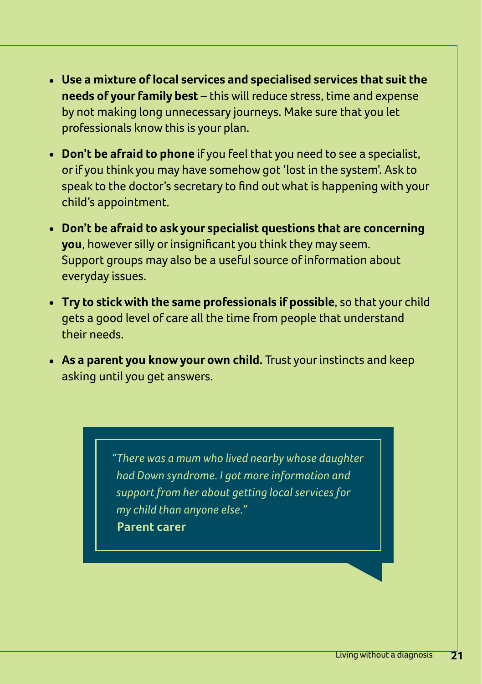- **• Use a mixture of local services and specialised services that suit the needs of your family best** – this will reduce stress, time and expense by not making long unnecessary journeys. Make sure that you let professionals know this is your plan.
- **• Don't be afraid to phone** if you feel that you need to see a specialist, or if you think you may have somehow got 'lost in the system'. Ask to speak to the doctor's secretary to find out what is happening with your child's appointment.
- **• Don't be afraid to ask your specialist questions that are concerning you**, however silly or insignificant you think they may seem. Support groups may also be a useful source of information about everyday issues.
- **• Try to stick with the same professionals if possible**, so that your child gets a good level of care all the time from people that understand their needs.
- **As a parent you know your own child.** Trust your instincts and keep asking until you get answers.

*"There was a mum who lived nearby whose daughter had Down syndrome. I got more information and support from her about getting local services for my child than anyone else."*   **Parent carer**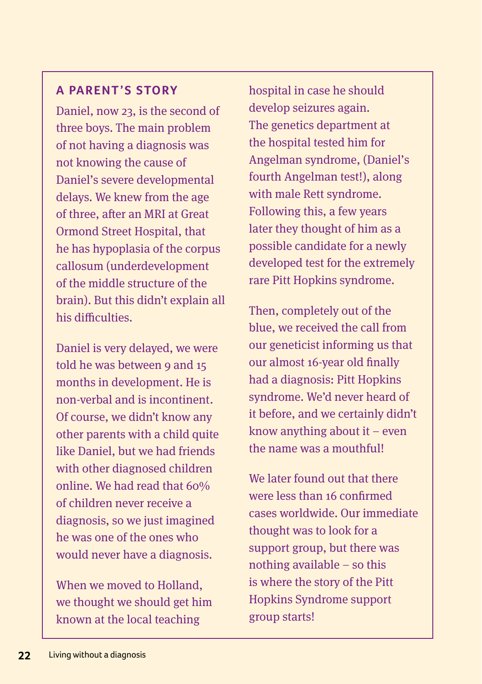#### **A parent's story**

Daniel, now 23, is the second of three boys. The main problem of not having a diagnosis was not knowing the cause of Daniel's severe developmental delays. We knew from the age of three, after an MRI at Great Ormond Street Hospital, that he has hypoplasia of the corpus callosum (underdevelopment of the middle structure of the brain). But this didn't explain all his difficulties.

Daniel is very delayed, we were told he was between 9 and 15 months in development. He is non-verbal and is incontinent. Of course, we didn't know any other parents with a child quite like Daniel, but we had friends with other diagnosed children online. We had read that 60% of children never receive a diagnosis, so we just imagined he was one of the ones who would never have a diagnosis.

When we moved to Holland, we thought we should get him known at the local teaching

hospital in case he should develop seizures again. The genetics department at the hospital tested him for Angelman syndrome, (Daniel's fourth Angelman test!), along with male Rett syndrome. Following this, a few years later they thought of him as a possible candidate for a newly developed test for the extremely rare Pitt Hopkins syndrome.

Then, completely out of the blue, we received the call from our geneticist informing us that our almost 16-year old finally had a diagnosis: Pitt Hopkins syndrome. We'd never heard of it before, and we certainly didn't know anything about it – even the name was a mouthful!

We later found out that there were less than 16 confirmed cases worldwide. Our immediate thought was to look for a support group, but there was nothing available – so this is where the story of the Pitt Hopkins Syndrome support group starts!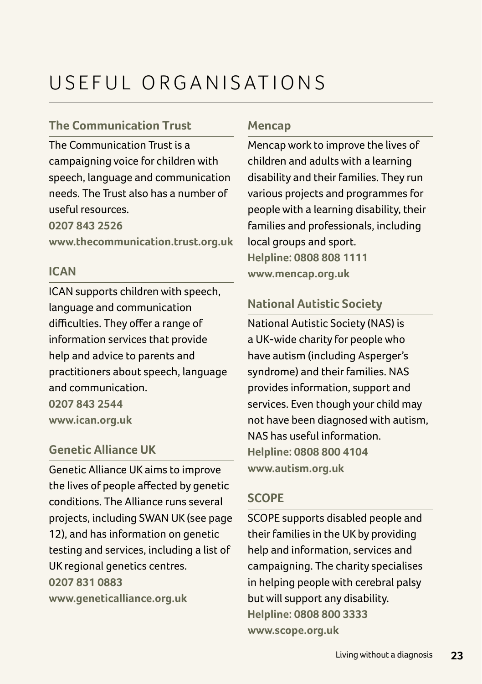### USFFUL ORGANISATIONS

#### **The Communication Trust**

The Communication Trust is a campaigning voice for children with speech, language and communication needs. The Trust also has a number of useful resources. **0207 843 2526 www.thecommunication.trust.org.uk**

#### **ICAN**

ICAN supports children with speech, language and communication difficulties. They offer a range of information services that provide help and advice to parents and practitioners about speech, language and communication. **0207 843 2544 www.ican.org.uk**

#### **Genetic Alliance UK**

Genetic Alliance UK aims to improve the lives of people affected by genetic conditions. The Alliance runs several projects, including SWAN UK (see page 12), and has information on genetic testing and services, including a list of UK regional genetics centres. **0207 831 0883 www.geneticalliance.org.uk** 

#### **Mencap**

Mencap work to improve the lives of children and adults with a learning disability and their families. They run various projects and programmes for people with a learning disability, their families and professionals, including local groups and sport. **Helpline: 0808 808 1111 www.mencap.org.uk**

#### **National Autistic Society**

National Autistic Society (NAS) is a UK-wide charity for people who have autism (including Asperger's syndrome) and their families. NAS provides information, support and services. Even though your child may not have been diagnosed with autism, NAS has useful information. **Helpline: 0808 800 4104 www.autism.org.uk**

#### **SCOPE**

SCOPE supports disabled people and their families in the UK by providing help and information, services and campaigning. The charity specialises in helping people with cerebral palsy but will support any disability. **Helpline: 0808 800 3333 www.scope.org.uk**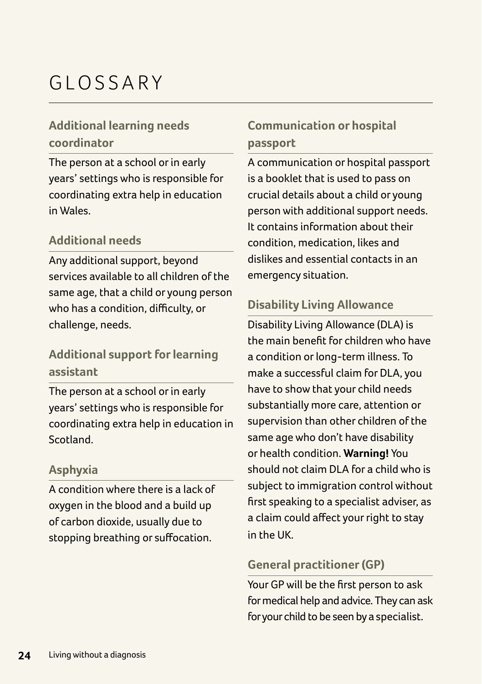# Glossar y

#### **Additional learning needs coordinator**

The person at a school or in early years' settings who is responsible for coordinating extra help in education in Wales.

#### **Additional needs**

Any additional support, beyond services available to all children of the same age, that a child or young person who has a condition, difficulty, or challenge, needs.

#### **Additional support for learning assistant**

The person at a school or in early years' settings who is responsible for coordinating extra help in education in Scotland.

#### **Asphyxia**

A condition where there is a lack of oxygen in the blood and a build up of carbon dioxide, usually due to stopping breathing or suffocation.

#### **Communication or hospital passport**

A communication or hospital passport is a booklet that is used to pass on crucial details about a child or young person with additional support needs. It contains information about their condition, medication, likes and dislikes and essential contacts in an emergency situation.

#### **Disability Living Allowance**

Disability Living Allowance (DLA) is the main benefit for children who have a condition or long-term illness. To make a successful claim for DLA, you have to show that your child needs substantially more care, attention or supervision than other children of the same age who don't have disability or health condition. **Warning!** You should not claim DLA for a child who is subject to immigration control without first speaking to a specialist adviser, as a claim could affect your right to stay in the UK.

#### **General practitioner (GP)**

Your GP will be the first person to ask for medical help and advice. They can ask for your child to be seen by a specialist.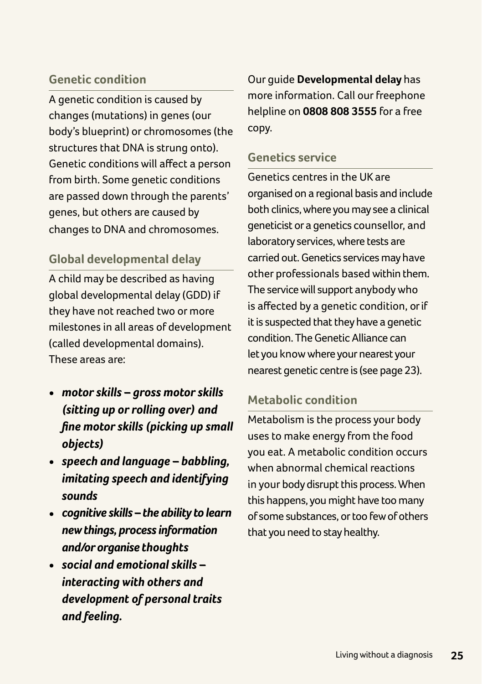#### **Genetic condition**

A genetic condition is caused by changes (mutations) in genes (our body's blueprint) or chromosomes (the structures that DNA is strung onto). Genetic conditions will affect a person from birth. Some genetic conditions are passed down through the parents' genes, but others are caused by changes to DNA and chromosomes.

#### **Global developmental delay**

A child may be described as having global developmental delay (GDD) if they have not reached two or more milestones in all areas of development (called developmental domains). These areas are:

- **•**  *motor skills gross motor skills (sitting up or rolling over) and fine motor skills (picking up small objects)*
- **•**  *speech and language babbling, imitating speech and identifying sounds*
- **•**  *cognitive skills the ability to learn new things, process information and/or organise thoughts*
- **•**  *social and emotional skills interacting with others and development of personal traits and feeling.*

Our guide **Developmental delay** has more information. Call our freephone helpline on **0808 808 3555** for a free copy.

#### **Genetics service**

Genetics centres in the UK are organised on a regional basis and include both clinics, where you may see a clinical geneticist or a genetics counsellor, and laboratory services, where tests are carried out. Genetics services may have other professionals based within them. The service will support anybody who is affected by a genetic condition, or if it is suspected that they have a genetic condition. The Genetic Alliance can let you know where your nearest your nearest genetic centre is (see page 23).

#### **Metabolic condition**

Metabolism is the process your body uses to make energy from the food you eat. A metabolic condition occurs when abnormal chemical reactions in your body disrupt this process. When this happens, you might have too many of some substances, or too few of others that you need to stay healthy.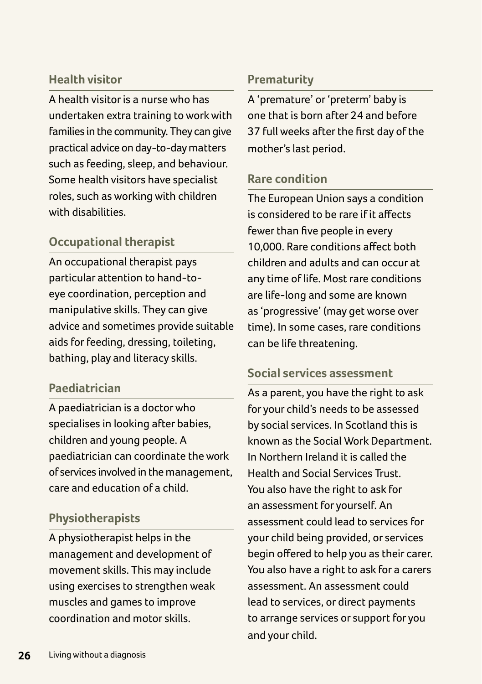#### **Health visitor**

A health visitor is a nurse who has undertaken extra training to work with families in the community. They can give practical advice on day-to-day matters such as feeding, sleep, and behaviour. Some health visitors have specialist roles, such as working with children with disabilities.

#### **Occupational therapist**

An occupational therapist pays particular attention to hand-toeye coordination, perception and manipulative skills. They can give advice and sometimes provide suitable aids for feeding, dressing, toileting, bathing, play and literacy skills.

#### **Paediatrician**

A paediatrician is a doctor who specialises in looking after babies, children and young people. A paediatrician can coordinate the work of services involved in the management, care and education of a child.

#### **Physiotherapists**

A physiotherapist helps in the management and development of movement skills. This may include using exercises to strengthen weak muscles and games to improve coordination and motor skills.

#### **Prematurity**

A 'premature' or 'preterm' baby is one that is born after 24 and before 37 full weeks after the first day of the mother's last period.

#### **Rare condition**

The European Union says a condition is considered to be rare if it affects fewer than five people in every 10,000. Rare conditions affect both children and adults and can occur at any time of life. Most rare conditions are life-long and some are known as 'progressive' (may get worse over time). In some cases, rare conditions can be life threatening.

#### **Social services assessment**

As a parent, you have the right to ask for your child's needs to be assessed by social services. In Scotland this is known as the Social Work Department. In Northern Ireland it is called the Health and Social Services Trust. You also have the right to ask for an assessment for yourself. An assessment could lead to services for your child being provided, or services begin offered to help you as their carer. You also have a right to ask for a carers assessment. An assessment could lead to services, or direct payments to arrange services or support for you and your child.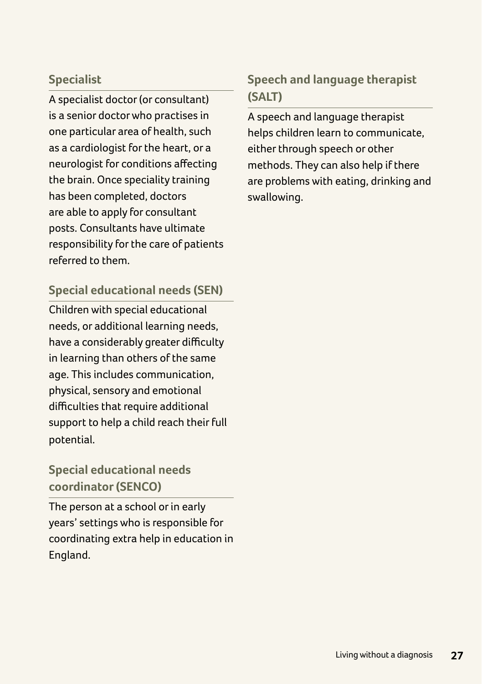#### **Specialist**

A specialist doctor (or consultant) is a senior doctor who practises in one particular area of health, such as a cardiologist for the heart, or a neurologist for conditions affecting the brain. Once speciality training has been completed, doctors are able to apply for consultant posts. Consultants have ultimate responsibility for the care of patients referred to them.

**Special educational needs (SEN)**

Children with special educational needs, or additional learning needs, have a considerably greater difficulty in learning than others of the same age. This includes communication, physical, sensory and emotional difficulties that require additional support to help a child reach their full potential.

**Special educational needs coordinator (SENCO)**

The person at a school or in early years' settings who is responsible for coordinating extra help in education in England.

#### **Speech and language therapist (SALT)**

A speech and language therapist helps children learn to communicate, either through speech or other methods. They can also help if there are problems with eating, drinking and swallowing.